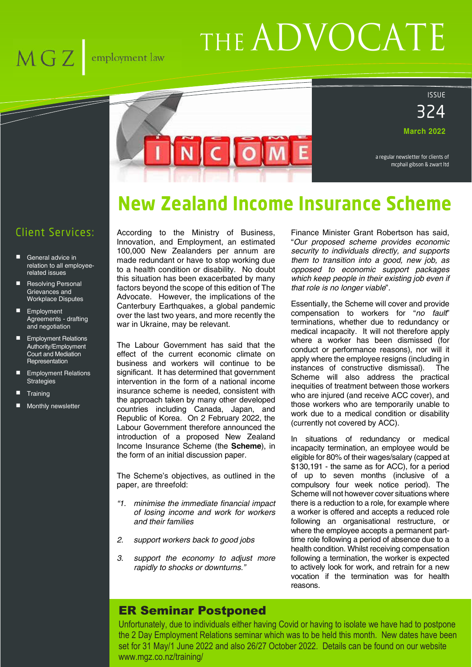## $MGZ$  $\,$ employment law

# THE ADVOCATE

ISSUE

324

**March 2022**

a regular newsletter for clients of mcphail gibson & zwart ltd

## **New Zealand Income Insurance Scheme**

### Client Services:

- General advice in relation to all employeerelated issues
- Resolving Personal Grievances and Workplace Disputes
- **Employment** Agreements - drafting and negotiation
- **Employment Relations** Authority/Employment Court and Mediation **Representation**
- **Employment Relations Strategies**
- **Training**
- Monthly newsletter

According to the Ministry of Business, Innovation, and Employment, an estimated 100,000 New Zealanders per annum are made redundant or have to stop working due to a health condition or disability. No doubt this situation has been exacerbated by many factors beyond the scope of this edition of The Advocate. However, the implications of the Canterbury Earthquakes, a global pandemic over the last two years, and more recently the war in Ukraine, may be relevant.

NCOM

The Labour Government has said that the effect of the current economic climate on business and workers will continue to be significant. It has determined that government intervention in the form of a national income insurance scheme is needed, consistent with the approach taken by many other developed countries including Canada, Japan, and Republic of Korea. On 2 February 2022, the Labour Government therefore announced the introduction of a proposed New Zealand Income Insurance Scheme (the **Scheme**), in the form of an initial discussion paper.

The Scheme's objectives, as outlined in the paper, are threefold:

- *"1. minimise the immediate financial impact of losing income and work for workers and their families*
- *2. support workers back to good jobs*
- *3. support the economy to adjust more rapidly to shocks or downturns."*

Finance Minister Grant Robertson has said, "*Our proposed scheme provides economic security to individuals directly, and supports them to transition into a good, new job, as opposed to economic support packages which keep people in their existing job even if that role is no longer viable*".

Essentially, the Scheme will cover and provide compensation to workers for "*no fault*" terminations, whether due to redundancy or medical incapacity. It will not therefore apply where a worker has been dismissed (for conduct or performance reasons), nor will it apply where the employee resigns (including in instances of constructive dismissal). The Scheme will also address the practical inequities of treatment between those workers who are injured (and receive ACC cover), and those workers who are temporarily unable to work due to a medical condition or disability (currently not covered by ACC).

In situations of redundancy or medical incapacity termination, an employee would be eligible for 80% of their wages/salary (capped at \$130,191 - the same as for ACC), for a period of up to seven months (inclusive of a compulsory four week notice period). The Scheme will not however cover situations where there is a reduction to a role, for example where a worker is offered and accepts a reduced role following an organisational restructure, or where the employee accepts a permanent parttime role following a period of absence due to a health condition. Whilst receiving compensation following a termination, the worker is expected to actively look for work, and retrain for a new vocation if the termination was for health reasons.

#### ER Seminar Postponed

Unfortunately, due to individuals either having Covid or having to isolate we have had to postpone the 2 Day Employment Relations seminar which was to be held this month. New dates have been set for 31 May/1 June 2022 and also 26/27 October 2022. Details can be found on our website www.mgz.co.nz/training/